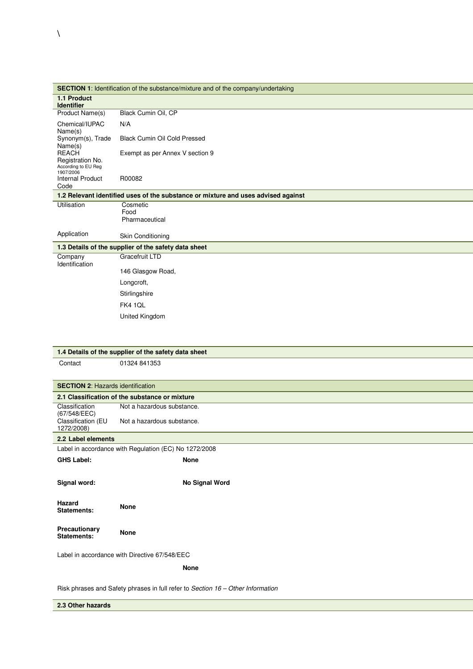|                                                                                 | <b>SECTION 1:</b> Identification of the substance/mixture and of the company/undertaking |  |  |  |  |  |
|---------------------------------------------------------------------------------|------------------------------------------------------------------------------------------|--|--|--|--|--|
| 1.1 Product                                                                     |                                                                                          |  |  |  |  |  |
| <b>Identifier</b><br>Product Name(s)                                            | Black Cumin Oil, CP                                                                      |  |  |  |  |  |
| Chemical/IUPAC                                                                  | N/A                                                                                      |  |  |  |  |  |
| Name(s)<br>Synonym(s), Trade<br>Name(s)                                         | <b>Black Cumin Oil Cold Pressed</b>                                                      |  |  |  |  |  |
| <b>REACH</b><br>Registration No.                                                | Exempt as per Annex V section 9                                                          |  |  |  |  |  |
| According to EU Reg<br>1907/2006                                                |                                                                                          |  |  |  |  |  |
| <b>Internal Product</b><br>Code                                                 | R00082                                                                                   |  |  |  |  |  |
|                                                                                 | 1.2 Relevant identified uses of the substance or mixture and uses advised against        |  |  |  |  |  |
| Utilisation                                                                     | Cosmetic<br>Food                                                                         |  |  |  |  |  |
|                                                                                 | Pharmaceutical                                                                           |  |  |  |  |  |
| Application                                                                     | Skin Conditioning                                                                        |  |  |  |  |  |
|                                                                                 | 1.3 Details of the supplier of the safety data sheet                                     |  |  |  |  |  |
| Company<br>Identification                                                       | Gracefruit LTD                                                                           |  |  |  |  |  |
|                                                                                 | 146 Glasgow Road,                                                                        |  |  |  |  |  |
|                                                                                 | Longcroft,                                                                               |  |  |  |  |  |
|                                                                                 | Stirlingshire                                                                            |  |  |  |  |  |
|                                                                                 | FK4 1QL                                                                                  |  |  |  |  |  |
|                                                                                 | United Kingdom                                                                           |  |  |  |  |  |
|                                                                                 |                                                                                          |  |  |  |  |  |
|                                                                                 |                                                                                          |  |  |  |  |  |
|                                                                                 | 1.4 Details of the supplier of the safety data sheet                                     |  |  |  |  |  |
| Contact                                                                         | 01324 841353                                                                             |  |  |  |  |  |
|                                                                                 |                                                                                          |  |  |  |  |  |
| <b>SECTION 2: Hazards identification</b>                                        |                                                                                          |  |  |  |  |  |
|                                                                                 | 2.1 Classification of the substance or mixture                                           |  |  |  |  |  |
| Classification                                                                  | Not a hazardous substance.                                                               |  |  |  |  |  |
| (67/548/EEC)<br>Classification (EU<br>1272/2008)                                | Not a hazardous substance.                                                               |  |  |  |  |  |
| 2.2 Label elements                                                              |                                                                                          |  |  |  |  |  |
|                                                                                 | Label in accordance with Regulation (EC) No 1272/2008                                    |  |  |  |  |  |
| <b>GHS Label:</b>                                                               | None                                                                                     |  |  |  |  |  |
|                                                                                 |                                                                                          |  |  |  |  |  |
| Signal word:                                                                    | No Signal Word                                                                           |  |  |  |  |  |
|                                                                                 |                                                                                          |  |  |  |  |  |
| Hazard<br><b>Statements:</b>                                                    | <b>None</b>                                                                              |  |  |  |  |  |
| Precautionary<br><b>Statements:</b>                                             | None                                                                                     |  |  |  |  |  |
|                                                                                 | Label in accordance with Directive 67/548/EEC                                            |  |  |  |  |  |
|                                                                                 | <b>None</b>                                                                              |  |  |  |  |  |
|                                                                                 |                                                                                          |  |  |  |  |  |
| Risk phrases and Safety phrases in full refer to Section 16 - Other Information |                                                                                          |  |  |  |  |  |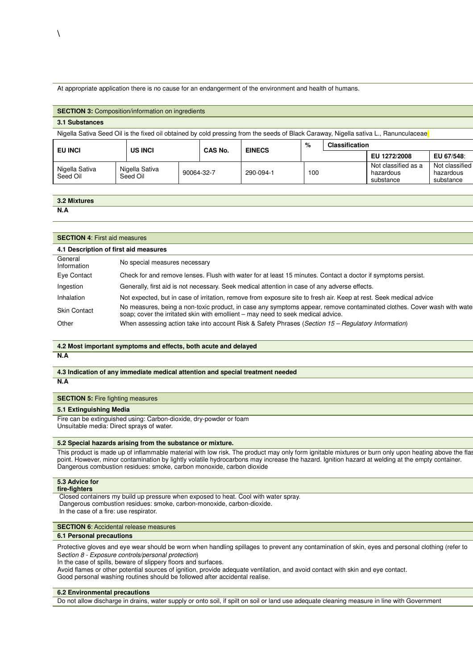At appropriate application there is no cause for an endangerment of the environment and health of humans.

| <b>SECTION 3: Composition/information on ingredients</b>                                                                             |  |                            |  |            |               |     |                       |                                               |                                          |
|--------------------------------------------------------------------------------------------------------------------------------------|--|----------------------------|--|------------|---------------|-----|-----------------------|-----------------------------------------------|------------------------------------------|
| 3.1 Substances                                                                                                                       |  |                            |  |            |               |     |                       |                                               |                                          |
| Nigella Sativa Seed Oil is the fixed oil obtained by cold pressing from the seeds of Black Caraway, Nigella sativa L., Ranunculaceae |  |                            |  |            |               |     |                       |                                               |                                          |
| <b>EU INCI</b>                                                                                                                       |  | <b>US INCI</b>             |  | CAS No.    | <b>EINECS</b> | %   | <b>Classification</b> |                                               |                                          |
|                                                                                                                                      |  |                            |  |            |               |     |                       | EU 1272/2008                                  | EU 67/548:                               |
| Nigella Sativa<br>Seed Oil                                                                                                           |  | Nigella Sativa<br>Seed Oil |  | 90064-32-7 | 290-094-1     | 100 |                       | Not classified as a<br>hazardous<br>substance | Not classified<br>hazardous<br>substance |

| 3.2 Mixtures |  |
|--------------|--|
| N.A          |  |

| <b>SECTION 4: First aid measures</b>  |                                                                                                                                                                                                            |  |  |  |
|---------------------------------------|------------------------------------------------------------------------------------------------------------------------------------------------------------------------------------------------------------|--|--|--|
| 4.1 Description of first aid measures |                                                                                                                                                                                                            |  |  |  |
| General<br>Information                | No special measures necessary                                                                                                                                                                              |  |  |  |
| Eye Contact                           | Check for and remove lenses. Flush with water for at least 15 minutes. Contact a doctor if symptoms persist.                                                                                               |  |  |  |
| Ingestion                             | Generally, first aid is not necessary. Seek medical attention in case of any adverse effects.                                                                                                              |  |  |  |
| <b>Inhalation</b>                     | Not expected, but in case of irritation, remove from exposure site to fresh air. Keep at rest. Seek medical advice                                                                                         |  |  |  |
| <b>Skin Contact</b>                   | No measures, being a non-toxic product, in case any symptoms appear, remove contaminated clothes. Cover wash with wate<br>soap; cover the irritated skin with emollient – may need to seek medical advice. |  |  |  |
| Other                                 | When assessing action take into account Risk & Safety Phrases (Section 15 - Regulatory Information)                                                                                                        |  |  |  |

# **4.2 Most important symptoms and effects, both acute and delayed**

**N.A**

### **4.3 Indication of any immediate medical attention and special treatment needed N.A**

# **SECTION 5: Fire fighting measures**

### **5.1 Extinguishing Media**

Fire can be extinguished using: Carbon-dioxide, dry-powder or foam Unsuitable media: Direct sprays of water.

### **5.2 Special hazards arising from the substance or mixture.**

This product is made up of inflammable material with low risk. The product may only form ignitable mixtures or burn only upon heating above the flash point. However, minor contamination by lightly volatile hydrocarbons may increase the hazard. Ignition hazard at welding at the empty container. Dangerous combustion residues: smoke, carbon monoxide, carbon dioxide

# **5.3 Advice for**

**fire-fighters**

 Closed containers my build up pressure when exposed to heat. Cool with water spray. Dangerous combustion residues: smoke, carbon-monoxide, carbon-dioxide.

In the case of a fire: use respirator.

# **SECTION 6: Accidental release measures**

### **6.1 Personal precautions**

Protective gloves and eye wear should be worn when handling spillages to prevent any contamination of skin, eyes and personal clothing (refer to Section 8 - Exposure controls/personal protection)

In the case of spills, beware of slippery floors and surfaces.

Avoid flames or other potential sources of ignition, provide adequate ventilation, and avoid contact with skin and eye contact. Good personal washing routines should be followed after accidental realise.

#### **6.2 Environmental precautions**

Do not allow discharge in drains, water supply or onto soil, if spilt on soil or land use adequate cleaning measure in line with Government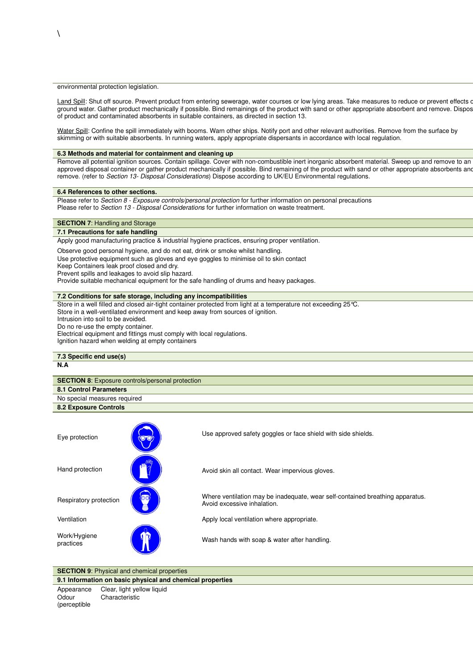### environmental protection legislation.

Land Spill: Shut off source. Prevent product from entering sewerage, water courses or low lying areas. Take measures to reduce or prevent effects on ground water. Gather product mechanically if possible. Bind remainings of the product with sand or other appropriate absorbent and remove. Dispose of product and contaminated absorbents in suitable containers, as directed in section 13.

Water Spill: Confine the spill immediately with booms. Warn other ships. Notify port and other relevant authorities. Remove from the surface by skimming or with suitable absorbents. In running waters, apply appropriate dispersants in accordance with local regulation.

#### **6.3 Methods and material for containment and cleaning up**

Remove all potential ignition sources. Contain spillage. Cover with non-combustible inert inorganic absorbent material. Sweep up and remove to an approved disposal container or gather product mechanically if possible. Bind remaining of the product with sand or other appropriate absorbents and remove. (refer to Section 13- Disposal Considerations) Dispose according to UK/EU Environmental regulations.

#### **6.4 References to other sections.**

Please refer to Section 8 - Exposure controls/personal protection for further information on personal precautions Please refer to *Section 13 - Disposal Considerations* for further information on waste treatment.

### **SECTION 7: Handling and Storage**

# **7.1 Precautions for safe handling**

Apply good manufacturing practice & industrial hygiene practices, ensuring proper ventilation.

Observe good personal hygiene, and do not eat, drink or smoke whilst handling.

Use protective equipment such as gloves and eye goggles to minimise oil to skin contact

Keep Containers leak proof closed and dry.

Prevent spills and leakages to avoid slip hazard.

Provide suitable mechanical equipment for the safe handling of drums and heavy packages.

#### **7.2 Conditions for safe storage, including any incompatibilities**

Store in a well filled and closed air-tight container protected from light at a temperature not exceeding 25°C. Store in a well-ventilated environment and keep away from sources of ignition.

Intrusion into soil to be avoided.

Do no re-use the empty container.

Electrical equipment and fittings must comply with local regulations. Ignition hazard when welding at empty containers

# **7.3 Specific end use(s)**

# **N.A**

(perceptible

| <b>SECTION 8:</b> Exposure controls/personal protection |  |  |  |  |
|---------------------------------------------------------|--|--|--|--|
| 8.1 Control Parameters                                  |  |  |  |  |
| No special measures required                            |  |  |  |  |
| 8.2 Exposure Controls                                   |  |  |  |  |

| Eye protection            | <b>OU</b> | Use approved safety goggles or face shield with side shields.                                                |
|---------------------------|-----------|--------------------------------------------------------------------------------------------------------------|
| Hand protection           |           | Avoid skin all contact. Wear impervious gloves.                                                              |
| Respiratory protection    | OO,       | Where ventilation may be inadequate, wear self-contained breathing apparatus.<br>Avoid excessive inhalation. |
| Ventilation               |           | Apply local ventilation where appropriate.                                                                   |
| Work/Hygiene<br>practices | ı۲        | Wash hands with soap & water after handling.                                                                 |

# **SECTION 9:** Physical and chemical properties

**9.1 Information on basic physical and chemical properties** Appearance Clear, light yellow liquid **Odour** Characteristic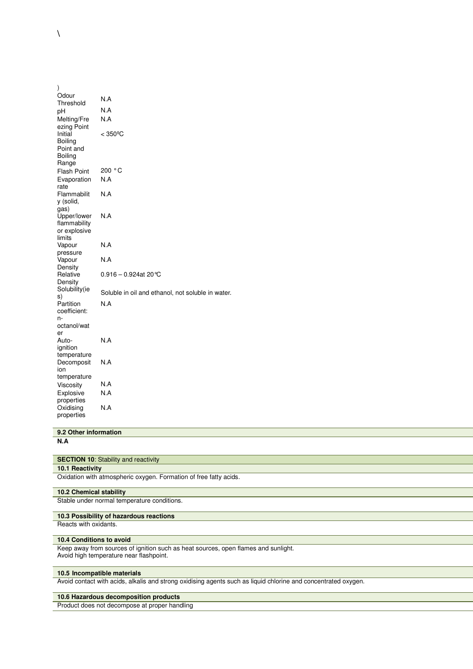| $\mathcal{E}$                                              |                                                   |
|------------------------------------------------------------|---------------------------------------------------|
| Odour<br>Threshold                                         | N.A                                               |
| рH                                                         | N.A                                               |
| Melting/Fre<br>ezing Point                                 | N.A                                               |
| Initial<br>Boiling<br>Point and<br><b>Boiling</b><br>Range | $< 350^{\circ}$ C                                 |
| <b>Flash Point</b>                                         | 200 °C                                            |
| Evaporation<br>rate                                        | N.A                                               |
| Flammabilit<br>y (solid,<br>gas)                           | N.A                                               |
| Upper/lower<br>flammability<br>or explosive<br>limits      | N.A                                               |
| Vapour<br>pressure                                         | N.A                                               |
| Vapour<br>Density                                          | N.A                                               |
| Relative<br>Density                                        | $0.916 - 0.924$ at 20 ℃                           |
| Solubility(ie<br>s)                                        | Soluble in oil and ethanol, not soluble in water. |
| Partition<br>coefficient:<br>n-<br>octanol/wat             | N.A                                               |
| er<br>Auto-<br>ignition                                    | N.A                                               |
| temperature<br>Decomposit<br>ion                           | N.A                                               |
| temperature                                                |                                                   |
| Viscosity                                                  | N.A                                               |
| Explosive<br>properties                                    | N.A                                               |
| Oxidising<br>properties                                    | N.A                                               |

# **9.2 Other information**

**N.A**

# **SECTION 10:** Stability and reactivity

**10.1 Reactivity**

Oxidation with atmospheric oxygen. Formation of free fatty acids.

# **10.2 Chemical stability**

Stable under normal temperature conditions.

# **10.3 Possibility of hazardous reactions**

Reacts with oxidants.

### **10.4 Conditions to avoid**

Keep away from sources of ignition such as heat sources, open flames and sunlight. Avoid high temperature near flashpoint.

#### **10.5 Incompatible materials**

Avoid contact with acids, alkalis and strong oxidising agents such as liquid chlorine and concentrated oxygen.

### **10.6 Hazardous decomposition products**

Product does not decompose at proper handling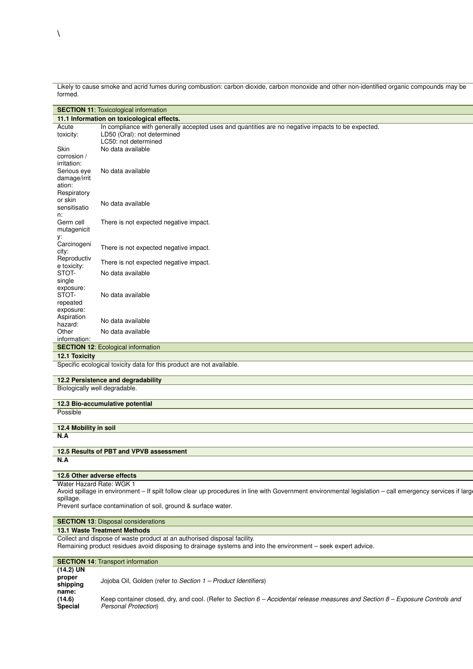Likely to cause smoke and acrid fumes during combustion: carbon dioxide, carbon monoxide and other non-identified organic compounds may be formed.

**SECTION 11:** Toxicological information

| 11.1 Information on toxicological effects. |                                                                                                   |  |  |  |  |
|--------------------------------------------|---------------------------------------------------------------------------------------------------|--|--|--|--|
| Acute                                      | In compliance with generally accepted uses and quantities are no negative impacts to be expected. |  |  |  |  |
| toxicity:                                  | LD50 (Oral): not determined                                                                       |  |  |  |  |
|                                            | LC50: not determined                                                                              |  |  |  |  |
| Skin                                       | No data available                                                                                 |  |  |  |  |
| corrosion /                                |                                                                                                   |  |  |  |  |
| irritation:                                |                                                                                                   |  |  |  |  |
| Serious eye                                | No data available                                                                                 |  |  |  |  |
| damage/irrit                               |                                                                                                   |  |  |  |  |
| ation:                                     |                                                                                                   |  |  |  |  |
| Respiratory                                |                                                                                                   |  |  |  |  |
| or skin<br>sensitisatio                    | No data available                                                                                 |  |  |  |  |
|                                            |                                                                                                   |  |  |  |  |
| n:<br>Germ cell                            | There is not expected negative impact.                                                            |  |  |  |  |
| mutagenicit                                |                                                                                                   |  |  |  |  |
| у:                                         |                                                                                                   |  |  |  |  |
| Carcinogeni                                |                                                                                                   |  |  |  |  |
| city:                                      | There is not expected negative impact.                                                            |  |  |  |  |
| Reproductiv                                | There is not expected negative impact.                                                            |  |  |  |  |
| e toxicity:                                |                                                                                                   |  |  |  |  |
| STOT-                                      | No data available                                                                                 |  |  |  |  |
| single                                     |                                                                                                   |  |  |  |  |
| exposure:                                  |                                                                                                   |  |  |  |  |
| STOT-                                      | No data available                                                                                 |  |  |  |  |
| repeated                                   |                                                                                                   |  |  |  |  |
| exposure:                                  |                                                                                                   |  |  |  |  |
| Aspiration                                 | No data available                                                                                 |  |  |  |  |
| hazard:<br>Other                           | No data available                                                                                 |  |  |  |  |
| information:                               |                                                                                                   |  |  |  |  |
|                                            | <b>SECTION 12: Ecological information</b>                                                         |  |  |  |  |
| 12.1 Toxicity                              |                                                                                                   |  |  |  |  |
|                                            | Specific ecological toxicity data for this product are not available.                             |  |  |  |  |
|                                            |                                                                                                   |  |  |  |  |
|                                            | 12.2 Persistence and degradability                                                                |  |  |  |  |
|                                            | Biologically well degradable.                                                                     |  |  |  |  |
|                                            | 12.3 Bio-accumulative potential                                                                   |  |  |  |  |
| Possible                                   |                                                                                                   |  |  |  |  |
|                                            |                                                                                                   |  |  |  |  |

**12.4 Mobility in soil N.A**

**12.5 Results of PBT and VPVB assessment N.A**

# **12.6 Other adverse effects**

Water Hazard Rate: WGK 1

Avoid spillage in environment – If spilt follow clear up procedures in line with Government environmental legislation – call emergency services if large spillage.

Prevent surface contamination of soil, ground & surface water.

# **SECTION 13: Disposal considerations**

### **13.1 Waste Treatment Methods**

Collect and dispose of waste product at an authorised disposal facility.

Remaining product residues avoid disposing to drainage systems and into the environment – seek expert advice.

|                                            | <b>SECTION 14: Transport information</b>                                                                                                                 |  |  |  |  |  |
|--------------------------------------------|----------------------------------------------------------------------------------------------------------------------------------------------------------|--|--|--|--|--|
| $(14.2)$ UN<br>proper<br>shipping<br>name: | Joioba Oil, Golden (refer to Section 1 – Product Identifiers)                                                                                            |  |  |  |  |  |
| (14.6)<br><b>Special</b>                   | Keep container closed, dry, and cool. (Refer to Section $6 -$ Accidental release measures and Section $8 -$ Exposure Controls and<br>Personal Protection |  |  |  |  |  |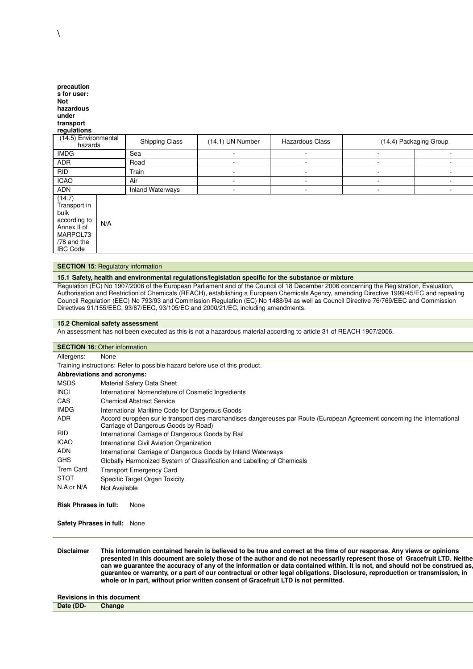| precaution<br>s for user:<br>Not<br>hazardous<br>under<br>transport<br>regulations                          |     |                         |                  |                          |                          |                          |  |
|-------------------------------------------------------------------------------------------------------------|-----|-------------------------|------------------|--------------------------|--------------------------|--------------------------|--|
| (14.5) Environmental<br>hazards                                                                             |     | Shipping Class          | (14.1) UN Number | Hazardous Class          |                          | (14.4) Packaging Group   |  |
| <b>IMDG</b>                                                                                                 |     | Sea                     | ٠                | $\overline{\phantom{a}}$ | ٠                        | $\overline{\phantom{a}}$ |  |
| <b>ADR</b>                                                                                                  |     | Road                    | ۰                | ۰                        | ٠                        |                          |  |
| <b>RID</b>                                                                                                  |     | Train                   | ۰                |                          | ٠                        |                          |  |
| <b>ICAO</b>                                                                                                 |     | Air                     | ٠                | $\overline{\phantom{a}}$ | ٠                        |                          |  |
| <b>ADN</b>                                                                                                  |     | <b>Inland Waterways</b> | ۰                |                          | $\overline{\phantom{a}}$ |                          |  |
| (14.7)<br>Transport in<br>bulk<br>according to<br>Annex II of<br>MARPOL73<br>/78 and the<br><b>IBC Code</b> | N/A |                         |                  |                          |                          |                          |  |

#### **SECTION 15: Regulatory information**

#### **15.1 Safety, health and environmental regulations/legislation specific for the substance or mixture**

Regulation (EC) No 1907/2006 of the European Parliament and of the Council of 18 December 2006 concerning the Registration, Evaluation, Authorisation and Restriction of Chemicals (REACH), establishing a European Chemicals Agency, amending Directive 1999/45/EC and repealing Council Regulation (EEC) No 793/93 and Commission Regulation (EC) No 1488/94 as well as Council Directive 76/769/EEC and Commission Directives 91/155/EEC, 93/67/EEC, 93/105/EC and 2000/21/EC, including amendments.

#### **15.2 Chemical safety assessment**

An assessment has not been executed as this is not a hazardous material according to article 31 of REACH 1907/2006.

|                                      | <b>SECTION 16: Other information</b>                                                                                                                             |  |  |  |  |  |
|--------------------------------------|------------------------------------------------------------------------------------------------------------------------------------------------------------------|--|--|--|--|--|
| Allergens:                           | None                                                                                                                                                             |  |  |  |  |  |
|                                      | Training instructions: Refer to possible hazard before use of this product.                                                                                      |  |  |  |  |  |
|                                      | <b>Abbreviations and acronyms:</b>                                                                                                                               |  |  |  |  |  |
| <b>MSDS</b>                          | Material Safety Data Sheet                                                                                                                                       |  |  |  |  |  |
| <b>INCI</b>                          | International Nomenclature of Cosmetic Ingredients                                                                                                               |  |  |  |  |  |
| <b>CAS</b>                           | <b>Chemical Abstract Service</b>                                                                                                                                 |  |  |  |  |  |
| <b>IMDG</b>                          | International Maritime Code for Dangerous Goods                                                                                                                  |  |  |  |  |  |
| <b>ADR</b>                           | Accord européen sur le transport des marchandises dangereuses par Route (European Agreement concerning the International<br>Carriage of Dangerous Goods by Road) |  |  |  |  |  |
| <b>RID</b>                           | International Carriage of Dangerous Goods by Rail                                                                                                                |  |  |  |  |  |
| <b>ICAO</b>                          | International Civil Aviation Organization                                                                                                                        |  |  |  |  |  |
| <b>ADN</b>                           | International Carriage of Dangerous Goods by Inland Waterways                                                                                                    |  |  |  |  |  |
| <b>GHS</b>                           | Globally Harmonized System of Classification and Labelling of Chemicals                                                                                          |  |  |  |  |  |
| <b>Trem Card</b>                     | <b>Transport Emergency Card</b>                                                                                                                                  |  |  |  |  |  |
| <b>STOT</b>                          | Specific Target Organ Toxicity                                                                                                                                   |  |  |  |  |  |
| N.A or N/A                           | Not Available                                                                                                                                                    |  |  |  |  |  |
| <b>Risk Phrases in full:</b><br>None |                                                                                                                                                                  |  |  |  |  |  |

**Safety Phrases in full:** None

**Disclaimer This information contained herein is believed to be true and correct at the time of our response. Any views or opinions**  presented in this document are solely those of the author and do not necessarily represent those of Gracefruit LTD. Neithe **can we guarantee the accuracy of any of the information or data contained within. It is not, and should not be construed as, a guarantee or warranty, or a part of our contractual or other legal obligations. Disclosure, reproduction or transmission, in whole or in part, without prior written consent of Gracefruit LTD is not permitted.**

### **Revisions in this document Date (DD- Change**